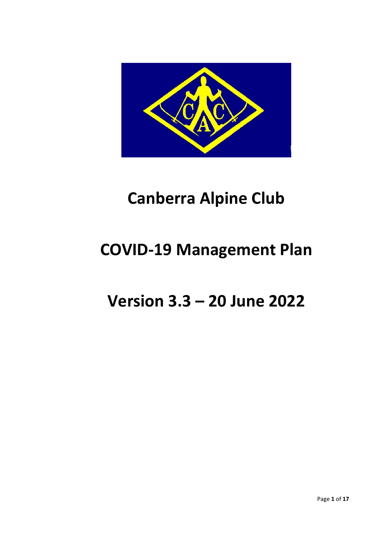

# **Canberra Alpine Club**

# **COVID-19 Management Plan**

# **Version 3.3 – 20 June 2022**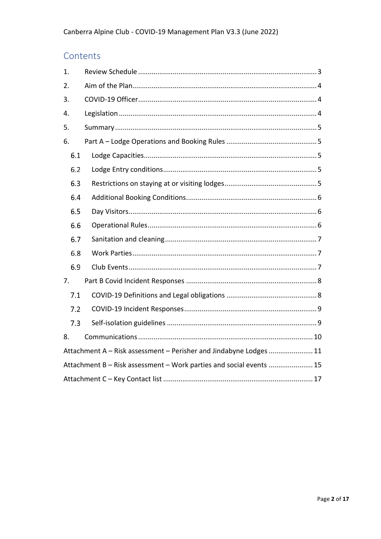# Contents

| 1.  |                                                                     |  |  |  |  |  |  |  |
|-----|---------------------------------------------------------------------|--|--|--|--|--|--|--|
| 2.  |                                                                     |  |  |  |  |  |  |  |
| 3.  |                                                                     |  |  |  |  |  |  |  |
| 4.  |                                                                     |  |  |  |  |  |  |  |
| 5.  |                                                                     |  |  |  |  |  |  |  |
| 6.  |                                                                     |  |  |  |  |  |  |  |
| 6.1 |                                                                     |  |  |  |  |  |  |  |
| 6.2 |                                                                     |  |  |  |  |  |  |  |
| 6.3 |                                                                     |  |  |  |  |  |  |  |
| 6.4 |                                                                     |  |  |  |  |  |  |  |
| 6.5 |                                                                     |  |  |  |  |  |  |  |
| 6.6 |                                                                     |  |  |  |  |  |  |  |
| 6.7 |                                                                     |  |  |  |  |  |  |  |
| 6.8 |                                                                     |  |  |  |  |  |  |  |
| 6.9 |                                                                     |  |  |  |  |  |  |  |
| 7.  |                                                                     |  |  |  |  |  |  |  |
| 7.1 |                                                                     |  |  |  |  |  |  |  |
| 7.2 |                                                                     |  |  |  |  |  |  |  |
| 7.3 |                                                                     |  |  |  |  |  |  |  |
| 8.  |                                                                     |  |  |  |  |  |  |  |
|     | Attachment A – Risk assessment – Perisher and Jindabyne Lodges  11  |  |  |  |  |  |  |  |
|     | Attachment B - Risk assessment - Work parties and social events  15 |  |  |  |  |  |  |  |
|     |                                                                     |  |  |  |  |  |  |  |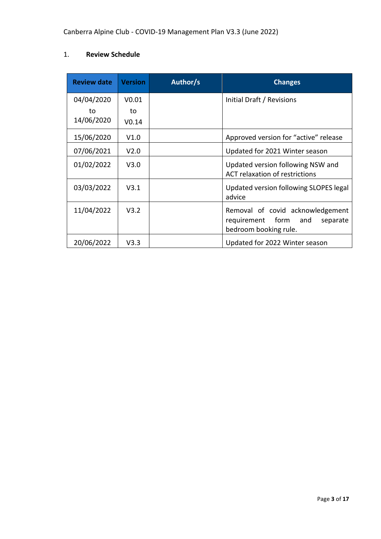# <span id="page-2-0"></span>1. **Review Schedule**

| <b>Review date</b> | <b>Version</b>    | Author/s | <b>Changes</b>                                                                                      |
|--------------------|-------------------|----------|-----------------------------------------------------------------------------------------------------|
| 04/04/2020         | V <sub>0.01</sub> |          | Initial Draft / Revisions                                                                           |
| to                 | to                |          |                                                                                                     |
| 14/06/2020         | V <sub>0.14</sub> |          |                                                                                                     |
| 15/06/2020         | V1.0              |          | Approved version for "active" release                                                               |
| 07/06/2021         | V <sub>2.0</sub>  |          | Updated for 2021 Winter season                                                                      |
| 01/02/2022         | V3.0              |          | Updated version following NSW and<br>ACT relaxation of restrictions                                 |
| 03/03/2022         | V3.1              |          | Updated version following SLOPES legal<br>advice                                                    |
| 11/04/2022         | V3.2              |          | Removal of covid acknowledgement<br>form<br>requirement<br>and<br>separate<br>bedroom booking rule. |
| 20/06/2022         | V3.3              |          | Updated for 2022 Winter season                                                                      |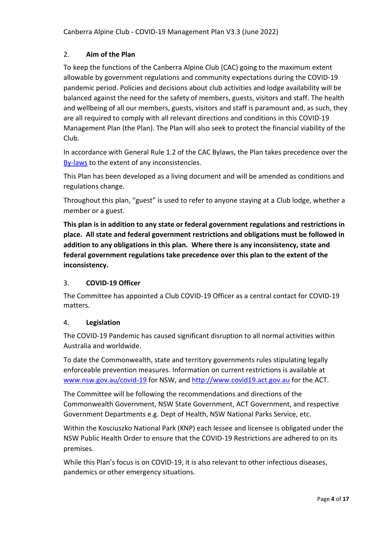## <span id="page-3-0"></span>2. **Aim of the Plan**

To keep the functions of the Canberra Alpine Club (CAC) going to the maximum extent allowable by government regulations and community expectations during the COVID-19 pandemic period. Policies and decisions about club activities and lodge availability will be balanced against the need for the safety of members, guests, visitors and staff. The health and wellbeing of all our members, guests, visitors and staff is paramount and, as such, they are all required to comply with all relevant directions and conditions in this COVID-19 Management Plan (the Plan). The Plan will also seek to protect the financial viability of the Club.

In accordance with General Rule 1.2 of the CAC Bylaws, the Plan takes precedence over the [By-laws](http://www.cac.org.au/?page_id=1195) to the extent of any inconsistencies.

This Plan has been developed as a living document and will be amended as conditions and regulations change.

Throughout this plan, "guest" is used to refer to anyone staying at a Club lodge, whether a member or a guest.

**This plan is in addition to any state or federal government regulations and restrictions in place. All state and federal government restrictions and obligations must be followed in addition to any obligations in this plan. Where there is any inconsistency, state and federal government regulations take precedence over this plan to the extent of the inconsistency.**

### <span id="page-3-1"></span>3. **COVID-19 Officer**

The Committee has appointed a Club COVID-19 Officer as a central contact for COVID-19 matters.

### <span id="page-3-2"></span>4. **Legislation**

The COVID-19 Pandemic has caused significant disruption to all normal activities within Australia and worldwide.

To date the Commonwealth, state and territory governments rules stipulating legally enforceable prevention measures. Information on current restrictions is available at [www.nsw.gov.au/covid-19](http://www.nsw.gov.au/covid-19) for NSW, and [http://www.covid19.act.gov.au](http://www.covid19.act.gov.au/) for the ACT.

The Committee will be following the recommendations and directions of the Commonwealth Government, NSW State Government, ACT Government, and respective Government Departments e.g. Dept of Health, NSW National Parks Service, etc.

Within the Kosciuszko National Park (KNP) each lessee and licensee is obligated under the NSW Public Health Order to ensure that the COVID-19 Restrictions are adhered to on its premises.

While this Plan's focus is on COVID-19, it is also relevant to other infectious diseases, pandemics or other emergency situations.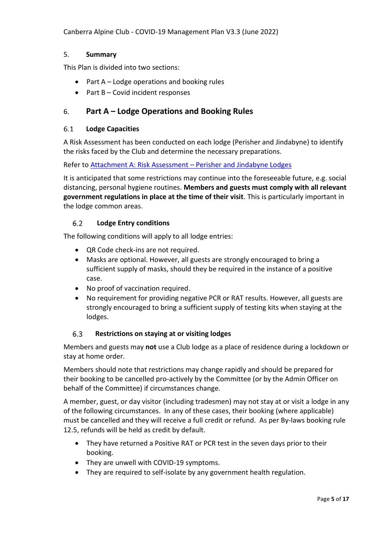Canberra Alpine Club - COVID-19 Management Plan V3.3 (June 2022)

### <span id="page-4-0"></span>5. **Summary**

This Plan is divided into two sections:

- Part A Lodge operations and booking rules
- Part B Covid incident responses

## <span id="page-4-1"></span>6. **Part A – Lodge Operations and Booking Rules**

#### <span id="page-4-2"></span> $6.1$ **Lodge Capacities**

A Risk Assessment has been conducted on each lodge (Perisher and Jindabyne) to identify the risks faced by the Club and determine the necessary preparations.

Refer to [Attachment A: Risk Assessment](#page-10-0) – Perisher and Jindabyne Lodges

It is anticipated that some restrictions may continue into the foreseeable future, e.g. social distancing, personal hygiene routines. **Members and guests must comply with all relevant government regulations in place at the time of their visit**. This is particularly important in the lodge common areas.

#### <span id="page-4-3"></span> $6.2$ **Lodge Entry conditions**

The following conditions will apply to all lodge entries:

- QR Code check-ins are not required.
- Masks are optional. However, all guests are strongly encouraged to bring a sufficient supply of masks, should they be required in the instance of a positive case.
- No proof of vaccination required.
- No requirement for providing negative PCR or RAT results. However, all guests are strongly encouraged to bring a sufficient supply of testing kits when staying at the lodges.

#### <span id="page-4-4"></span>6.3 **Restrictions on staying at or visiting lodges**

Members and guests may **not** use a Club lodge as a place of residence during a lockdown or stay at home order.

Members should note that restrictions may change rapidly and should be prepared for their booking to be cancelled pro-actively by the Committee (or by the Admin Officer on behalf of the Committee) if circumstances change.

A member, guest, or day visitor (including tradesmen) may not stay at or visit a lodge in any of the following circumstances. In any of these cases, their booking (where applicable) must be cancelled and they will receive a full credit or refund. As per By-laws booking rule 12.5, refunds will be held as credit by default.

- They have returned a Positive RAT or PCR test in the seven days prior to their booking.
- They are unwell with COVID-19 symptoms.
- They are required to self-isolate by any government health regulation.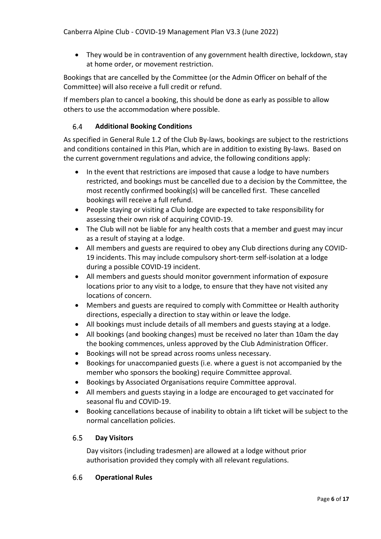• They would be in contravention of any government health directive, lockdown, stay at home order, or movement restriction.

Bookings that are cancelled by the Committee (or the Admin Officer on behalf of the Committee) will also receive a full credit or refund.

If members plan to cancel a booking, this should be done as early as possible to allow others to use the accommodation where possible.

#### <span id="page-5-0"></span> $6.4$ **Additional Booking Conditions**

As specified in General Rule 1.2 of the Club By-laws, bookings are subject to the restrictions and conditions contained in this Plan, which are in addition to existing By-laws. Based on the current government regulations and advice, the following conditions apply:

- In the event that restrictions are imposed that cause a lodge to have numbers restricted, and bookings must be cancelled due to a decision by the Committee, the most recently confirmed booking(s) will be cancelled first. These cancelled bookings will receive a full refund.
- People staying or visiting a Club lodge are expected to take responsibility for assessing their own risk of acquiring COVID-19.
- The Club will not be liable for any health costs that a member and guest may incur as a result of staying at a lodge.
- All members and guests are required to obey any Club directions during any COVID-19 incidents. This may include compulsory short-term self-isolation at a lodge during a possible COVID-19 incident.
- All members and guests should monitor government information of exposure locations prior to any visit to a lodge, to ensure that they have not visited any locations of concern.
- Members and guests are required to comply with Committee or Health authority directions, especially a direction to stay within or leave the lodge.
- All bookings must include details of all members and guests staying at a lodge.
- All bookings (and booking changes) must be received no later than 10am the day the booking commences, unless approved by the Club Administration Officer.
- Bookings will not be spread across rooms unless necessary.
- Bookings for unaccompanied guests (i.e. where a guest is not accompanied by the member who sponsors the booking) require Committee approval.
- Bookings by Associated Organisations require Committee approval.
- All members and guests staying in a lodge are encouraged to get vaccinated for seasonal flu and COVID-19.
- Booking cancellations because of inability to obtain a lift ticket will be subject to the normal cancellation policies.

#### <span id="page-5-1"></span> $6.5$ **Day Visitors**

Day visitors (including tradesmen) are allowed at a lodge without prior authorisation provided they comply with all relevant regulations.

#### <span id="page-5-2"></span>6.6 **Operational Rules**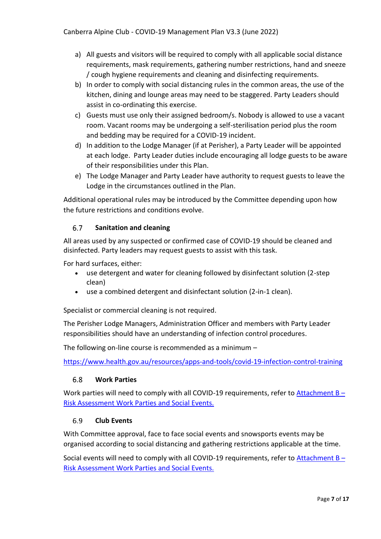- a) All guests and visitors will be required to comply with all applicable social distance requirements, mask requirements, gathering number restrictions, hand and sneeze / cough hygiene requirements and cleaning and disinfecting requirements.
- b) In order to comply with social distancing rules in the common areas, the use of the kitchen, dining and lounge areas may need to be staggered. Party Leaders should assist in co-ordinating this exercise.
- c) Guests must use only their assigned bedroom/s. Nobody is allowed to use a vacant room. Vacant rooms may be undergoing a self-sterilisation period plus the room and bedding may be required for a COVID-19 incident.
- d) In addition to the Lodge Manager (if at Perisher), a Party Leader will be appointed at each lodge. Party Leader duties include encouraging all lodge guests to be aware of their responsibilities under this Plan.
- e) The Lodge Manager and Party Leader have authority to request guests to leave the Lodge in the circumstances outlined in the Plan.

Additional operational rules may be introduced by the Committee depending upon how the future restrictions and conditions evolve.

#### <span id="page-6-0"></span>6.7 **Sanitation and cleaning**

All areas used by any suspected or confirmed case of COVID-19 should be cleaned and disinfected. Party leaders may request guests to assist with this task.

For hard surfaces, either:

- use detergent and water for cleaning followed by disinfectant solution (2-step clean)
- use a combined detergent and disinfectant solution (2-in-1 clean).

Specialist or commercial cleaning is not required.

The Perisher Lodge Managers, Administration Officer and members with Party Leader responsibilities should have an understanding of infection control procedures.

The following on-line course is recommended as a minimum –

<https://www.health.gov.au/resources/apps-and-tools/covid-19-infection-control-training>

#### <span id="page-6-1"></span> $6.8$ **Work Parties**

Work parties will need to comply with all COVID-19 requirements, refer to  $\frac{\text{Attention}}{1}$ [Risk Assessment Work Parties and Social Events.](#page-14-0)

#### <span id="page-6-2"></span>6.9 **Club Events**

With Committee approval, face to face social events and snowsports events may be organised according to social distancing and gathering restrictions applicable at the time.

Social events will need to comply with all COVID-19 requirements, refer to [Attachment B](#page-14-0) – [Risk Assessment Work Parties and Social Events.](#page-14-0)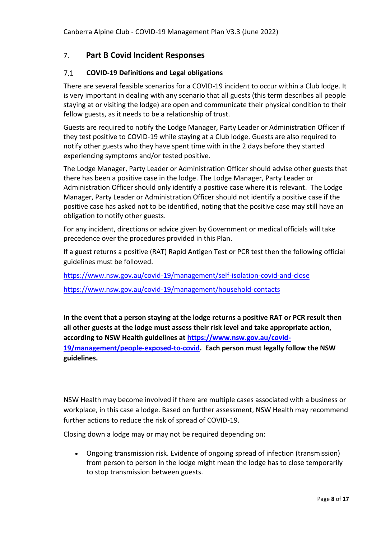# <span id="page-7-0"></span>7. **Part B Covid Incident Responses**

#### <span id="page-7-1"></span> $7.1$ **COVID-19 Definitions and Legal obligations**

There are several feasible scenarios for a COVID-19 incident to occur within a Club lodge. It is very important in dealing with any scenario that all guests (this term describes all people staying at or visiting the lodge) are open and communicate their physical condition to their fellow guests, as it needs to be a relationship of trust.

Guests are required to notify the Lodge Manager, Party Leader or Administration Officer if they test positive to COVID-19 while staying at a Club lodge. Guests are also required to notify other guests who they have spent time with in the 2 days before they started experiencing symptoms and/or tested positive.

The Lodge Manager, Party Leader or Administration Officer should advise other guests that there has been a positive case in the lodge. The Lodge Manager, Party Leader or Administration Officer should only identify a positive case where it is relevant. The Lodge Manager, Party Leader or Administration Officer should not identify a positive case if the positive case has asked not to be identified, noting that the positive case may still have an obligation to notify other guests.

For any incident, directions or advice given by Government or medical officials will take precedence over the procedures provided in this Plan.

If a guest returns a positive (RAT) Rapid Antigen Test or PCR test then the following official guidelines must be followed.

<https://www.nsw.gov.au/covid-19/management/self-isolation-covid-and-close>

<https://www.nsw.gov.au/covid-19/management/household-contacts>

**In the event that a person staying at the lodge returns a positive RAT or PCR result then all other guests at the lodge must assess their risk level and take appropriate action, according to NSW Health guidelines at [https://www.nsw.gov.au/covid-](https://www.nsw.gov.au/covid-19/management/people-exposed-to-covid)[19/management/people-exposed-to-covid.](https://www.nsw.gov.au/covid-19/management/people-exposed-to-covid) Each person must legally follow the NSW guidelines.**

NSW Health may become involved if there are multiple cases associated with a business or workplace, in this case a lodge. Based on further assessment, NSW Health may recommend further actions to reduce the risk of spread of COVID-19.

Closing down a lodge may or may not be required depending on:

• Ongoing transmission risk. Evidence of ongoing spread of infection (transmission) from person to person in the lodge might mean the lodge has to close temporarily to stop transmission between guests.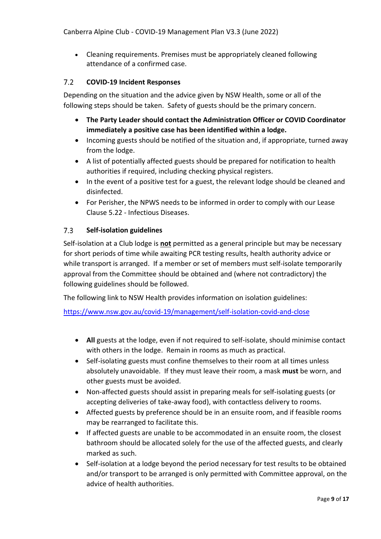• Cleaning requirements. Premises must be appropriately cleaned following attendance of a confirmed case.

#### <span id="page-8-0"></span> $7.2$ **COVID-19 Incident Responses**

Depending on the situation and the advice given by NSW Health, some or all of the following steps should be taken. Safety of guests should be the primary concern.

- **The Party Leader should contact the Administration Officer or COVID Coordinator immediately a positive case has been identified within a lodge.**
- Incoming guests should be notified of the situation and, if appropriate, turned away from the lodge.
- A list of potentially affected guests should be prepared for notification to health authorities if required, including checking physical registers.
- In the event of a positive test for a guest, the relevant lodge should be cleaned and disinfected.
- For Perisher, the NPWS needs to be informed in order to comply with our Lease Clause 5.22 - Infectious Diseases.

#### <span id="page-8-1"></span> $7.3$ **Self-isolation guidelines**

Self-isolation at a Club lodge is **not** permitted as a general principle but may be necessary for short periods of time while awaiting PCR testing results, health authority advice or while transport is arranged. If a member or set of members must self-isolate temporarily approval from the Committee should be obtained and (where not contradictory) the following guidelines should be followed.

The following link to NSW Health provides information on isolation guidelines:

<https://www.nsw.gov.au/covid-19/management/self-isolation-covid-and-close>

- **All** guests at the lodge, even if not required to self-isolate, should minimise contact with others in the lodge. Remain in rooms as much as practical.
- Self-isolating guests must confine themselves to their room at all times unless absolutely unavoidable. If they must leave their room, a mask **must** be worn, and other guests must be avoided.
- Non-affected guests should assist in preparing meals for self-isolating guests (or accepting deliveries of take-away food), with contactless delivery to rooms.
- Affected guests by preference should be in an ensuite room, and if feasible rooms may be rearranged to facilitate this.
- If affected guests are unable to be accommodated in an ensuite room, the closest bathroom should be allocated solely for the use of the affected guests, and clearly marked as such.
- Self-isolation at a lodge beyond the period necessary for test results to be obtained and/or transport to be arranged is only permitted with Committee approval, on the advice of health authorities.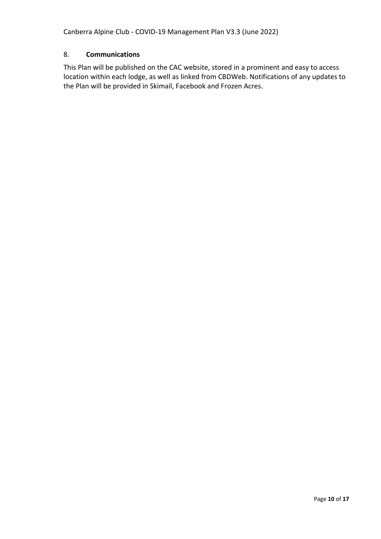Canberra Alpine Club - COVID-19 Management Plan V3.3 (June 2022)

## <span id="page-9-0"></span>8. **Communications**

This Plan will be published on the CAC website, stored in a prominent and easy to access location within each lodge, as well as linked from CBDWeb. Notifications of any updates to the Plan will be provided in Skimail, Facebook and Frozen Acres.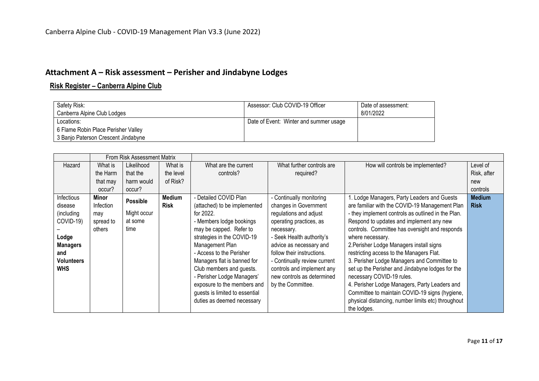# **Attachment A – Risk assessment – Perisher and Jindabyne Lodges**

# **Risk Register – Canberra Alpine Club**

| Safety Risk:                        | Assessor: Club COVID-19 Officer        | Date of assessment: |
|-------------------------------------|----------------------------------------|---------------------|
| Canberra Alpine Club Lodges         |                                        | 8/01/2022           |
| Locations:                          | Date of Event: Winter and summer usage |                     |
| 6 Flame Robin Place Perisher Valley |                                        |                     |
| 3 Banjo Paterson Crescent Jindabyne |                                        |                     |

<span id="page-10-0"></span>

|                   | From Risk Assessment Matrix |                 |             |                                |                              |                                                    |               |
|-------------------|-----------------------------|-----------------|-------------|--------------------------------|------------------------------|----------------------------------------------------|---------------|
| Hazard            | What is                     | Likelihood      | What is     | What are the current           | What further controls are    | How will controls be implemented?                  | Level of      |
|                   | the Harm                    | that the        | the level   | controls?                      | required?                    |                                                    | Risk, after   |
|                   | that may                    | harm would      | of Risk?    |                                |                              |                                                    | new           |
|                   | occur?                      | occur?          |             |                                |                              |                                                    | controls      |
| Infectious        | Minor                       | <b>Possible</b> | Medium      | - Detailed COVID Plan          | - Continually monitoring     | 1. Lodge Managers, Party Leaders and Guests        | <b>Medium</b> |
| disease           | Infection                   |                 | <b>Risk</b> | (attached) to be implemented   | changes in Government        | are familiar with the COVID-19 Management Plan     | <b>Risk</b>   |
| (including        | may                         | Might occur     |             | for 2022.                      | regulations and adjust       | - they implement controls as outlined in the Plan. |               |
| COVID-19)         | spread to                   | at some         |             | - Members lodge bookings       | operating practices, as      | Respond to updates and implement any new           |               |
|                   | others                      | time            |             | may be capped. Refer to        | necessary.                   | controls. Committee has oversight and responds     |               |
| Lodge             |                             |                 |             | strategies in the COVID-19     | - Seek Health authority's    | where necessary.                                   |               |
| <b>Managers</b>   |                             |                 |             | Management Plan                | advice as necessary and      | 2. Perisher Lodge Managers install signs           |               |
| and               |                             |                 |             | - Access to the Perisher       | follow their instructions.   | restricting access to the Managers Flat.           |               |
| <b>Volunteers</b> |                             |                 |             | Managers flat is banned for    | - Continually review current | 3. Perisher Lodge Managers and Committee to        |               |
| <b>WHS</b>        |                             |                 |             | Club members and guests.       | controls and implement any   | set up the Perisher and Jindabyne lodges for the   |               |
|                   |                             |                 |             | - Perisher Lodge Managers'     | new controls as determined   | necessary COVID-19 rules.                          |               |
|                   |                             |                 |             | exposure to the members and    | by the Committee.            | 4. Perisher Lodge Managers, Party Leaders and      |               |
|                   |                             |                 |             | guests is limited to essential |                              | Committee to maintain COVID-19 signs (hygiene,     |               |
|                   |                             |                 |             | duties as deemed necessary     |                              | physical distancing, number limits etc) throughout |               |
|                   |                             |                 |             |                                |                              | the lodges.                                        |               |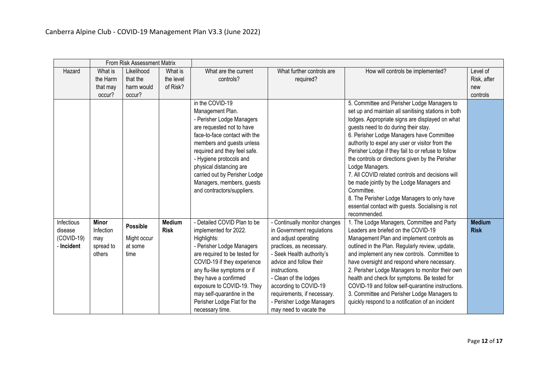|              | From Risk Assessment Matrix |                 |             |                               |                               |                                                     |               |
|--------------|-----------------------------|-----------------|-------------|-------------------------------|-------------------------------|-----------------------------------------------------|---------------|
| Hazard       | What is                     | Likelihood      | What is     | What are the current          | What further controls are     | How will controls be implemented?                   | Level of      |
|              | the Harm                    | that the        | the level   | controls?                     | required?                     |                                                     | Risk, after   |
|              | that may                    | harm would      | of Risk?    |                               |                               |                                                     | new           |
|              | occur?                      | occur?          |             |                               |                               |                                                     | controls      |
|              |                             |                 |             | in the COVID-19               |                               | 5. Committee and Perisher Lodge Managers to         |               |
|              |                             |                 |             | Management Plan.              |                               | set up and maintain all sanitising stations in both |               |
|              |                             |                 |             | - Perisher Lodge Managers     |                               | lodges. Appropriate signs are displayed on what     |               |
|              |                             |                 |             | are requested not to have     |                               | guests need to do during their stay.                |               |
|              |                             |                 |             | face-to-face contact with the |                               | 6. Perisher Lodge Managers have Committee           |               |
|              |                             |                 |             | members and guests unless     |                               | authority to expel any user or visitor from the     |               |
|              |                             |                 |             | required and they feel safe.  |                               | Perisher Lodge if they fail to or refuse to follow  |               |
|              |                             |                 |             | - Hygiene protocols and       |                               | the controls or directions given by the Perisher    |               |
|              |                             |                 |             | physical distancing are       |                               | Lodge Managers.                                     |               |
|              |                             |                 |             | carried out by Perisher Lodge |                               | 7. All COVID related controls and decisions will    |               |
|              |                             |                 |             | Managers, members, guests     |                               | be made jointly by the Lodge Managers and           |               |
|              |                             |                 |             | and contractors/suppliers.    |                               | Committee.                                          |               |
|              |                             |                 |             |                               |                               | 8. The Perisher Lodge Managers to only have         |               |
|              |                             |                 |             |                               |                               | essential contact with guests. Socialising is not   |               |
|              |                             |                 |             |                               |                               | recommended.                                        |               |
| Infectious   | <b>Minor</b>                | <b>Possible</b> | Medium      | - Detailed COVID Plan to be   | - Continually monitor changes | 1. The Lodge Managers, Committee and Party          | <b>Medium</b> |
| disease      | Infection                   |                 | <b>Risk</b> | implemented for 2022.         | in Government regulations     | Leaders are briefed on the COVID-19                 | <b>Risk</b>   |
| $(COVID-19)$ | may                         | Might occur     |             | Highlights:                   | and adjust operating          | Management Plan and implement controls as           |               |
| - Incident   | spread to                   | at some         |             | - Perisher Lodge Managers     | practices, as necessary.      | outlined in the Plan. Regularly review, update,     |               |
|              | others                      | time            |             | are required to be tested for | - Seek Health authority's     | and implement any new controls. Committee to        |               |
|              |                             |                 |             | COVID-19 if they experience   | advice and follow their       | have oversight and respond where necessary.         |               |
|              |                             |                 |             | any flu-like symptoms or if   | instructions.                 | 2. Perisher Lodge Managers to monitor their own     |               |
|              |                             |                 |             | they have a confirmed         | - Clean of the lodges         | health and check for symptoms. Be tested for        |               |
|              |                             |                 |             | exposure to COVID-19. They    | according to COVID-19         | COVID-19 and follow self-quarantine instructions.   |               |
|              |                             |                 |             | may self-quarantine in the    | requirements, if necessary.   | 3. Committee and Perisher Lodge Managers to         |               |
|              |                             |                 |             | Perisher Lodge Flat for the   | - Perisher Lodge Managers     | quickly respond to a notification of an incident    |               |
|              |                             |                 |             | necessary time.               | may need to vacate the        |                                                     |               |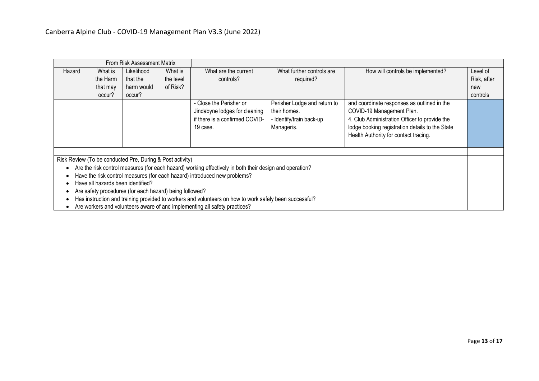| From Risk Assessment Matrix                                                                             |          |                                                           |           |                                                                                                        |                                                                                        |                                                                                                                                                                                                                       |             |
|---------------------------------------------------------------------------------------------------------|----------|-----------------------------------------------------------|-----------|--------------------------------------------------------------------------------------------------------|----------------------------------------------------------------------------------------|-----------------------------------------------------------------------------------------------------------------------------------------------------------------------------------------------------------------------|-------------|
| Hazard                                                                                                  | What is  | Likelihood                                                | What is   | What are the current                                                                                   | What further controls are                                                              | How will controls be implemented?                                                                                                                                                                                     | Level of    |
|                                                                                                         | the Harm | that the                                                  | the level | controls?                                                                                              | required?                                                                              |                                                                                                                                                                                                                       | Risk, after |
|                                                                                                         | that may | harm would                                                | of Risk?  |                                                                                                        |                                                                                        |                                                                                                                                                                                                                       | new         |
|                                                                                                         | occur?   | occur?                                                    |           |                                                                                                        |                                                                                        |                                                                                                                                                                                                                       | controls    |
|                                                                                                         |          |                                                           |           | - Close the Perisher or<br>Jindabyne lodges for cleaning<br>if there is a confirmed COVID-<br>19 case. | Perisher Lodge and return to<br>their homes.<br>- Identify/train back-up<br>Manager/s. | and coordinate responses as outlined in the<br>COVID-19 Management Plan.<br>4. Club Administration Officer to provide the<br>lodge booking registration details to the State<br>Health Authority for contact tracing. |             |
|                                                                                                         |          |                                                           |           |                                                                                                        |                                                                                        |                                                                                                                                                                                                                       |             |
|                                                                                                         |          | Risk Review (To be conducted Pre, During & Post activity) |           |                                                                                                        |                                                                                        |                                                                                                                                                                                                                       |             |
| Are the risk control measures (for each hazard) working effectively in both their design and operation? |          |                                                           |           |                                                                                                        |                                                                                        |                                                                                                                                                                                                                       |             |
| Have the risk control measures (for each hazard) introduced new problems?                               |          |                                                           |           |                                                                                                        |                                                                                        |                                                                                                                                                                                                                       |             |
| Have all hazards been identified?<br>Are safety procedures (for each hazard) being followed?            |          |                                                           |           |                                                                                                        |                                                                                        |                                                                                                                                                                                                                       |             |
|                                                                                                         |          |                                                           |           |                                                                                                        |                                                                                        |                                                                                                                                                                                                                       |             |
|                                                                                                         |          |                                                           |           | Has instruction and training provided to workers and volunteers on how to work safely been successful? |                                                                                        |                                                                                                                                                                                                                       |             |

• Are workers and volunteers aware of and implementing all safety practices?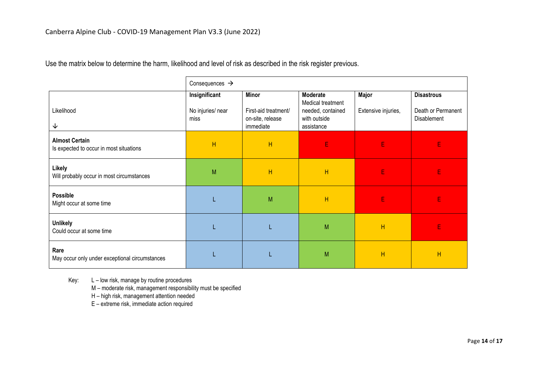Use the matrix below to determine the harm, likelihood and level of risk as described in the risk register previous.

|                                                                  | Consequences $\rightarrow$                 |                                                                       |                                                                                  |                              |                                                        |  |  |
|------------------------------------------------------------------|--------------------------------------------|-----------------------------------------------------------------------|----------------------------------------------------------------------------------|------------------------------|--------------------------------------------------------|--|--|
| Likelihood<br>↓                                                  | Insignificant<br>No injuries/ near<br>miss | <b>Minor</b><br>First-aid treatment/<br>on-site, release<br>immediate | Moderate<br>Medical treatment<br>needed, contained<br>with outside<br>assistance | Major<br>Extensive injuries, | <b>Disastrous</b><br>Death or Permanent<br>Disablement |  |  |
| <b>Almost Certain</b><br>Is expected to occur in most situations | H                                          | H                                                                     | E                                                                                | E                            | E                                                      |  |  |
| Likely<br>Will probably occur in most circumstances              | M                                          | H                                                                     | H                                                                                | E                            | E                                                      |  |  |
| Possible<br>Might occur at some time                             |                                            | M                                                                     | H                                                                                | E                            | E                                                      |  |  |
| <b>Unlikely</b><br>Could occur at some time                      |                                            |                                                                       | M                                                                                | H                            | E                                                      |  |  |
| Rare<br>May occur only under exceptional circumstances           |                                            |                                                                       | M                                                                                | H                            | H                                                      |  |  |

Key: L – low risk, manage by routine procedures

M – moderate risk, management responsibility must be specified

H – high risk, management attention needed

E – extreme risk, immediate action required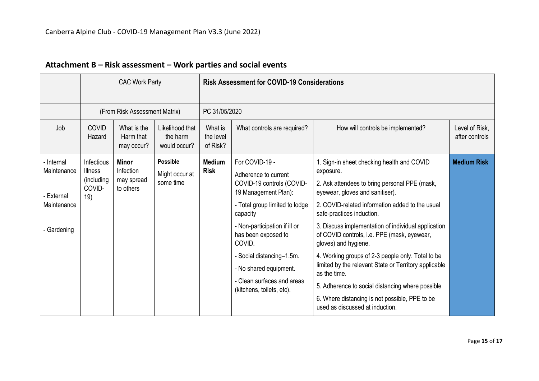<span id="page-14-0"></span>

|                                                                       | <b>CAC Work Party</b>                                              |                                               |                                                | <b>Risk Assessment for COVID-19 Considerations</b> |                                                                                                                                                                                                                                                                                                                               |                                                                                                                                                                                                                                                                                                                                                                                                                                                                                                                                                                                                                                  |                                  |  |  |  |
|-----------------------------------------------------------------------|--------------------------------------------------------------------|-----------------------------------------------|------------------------------------------------|----------------------------------------------------|-------------------------------------------------------------------------------------------------------------------------------------------------------------------------------------------------------------------------------------------------------------------------------------------------------------------------------|----------------------------------------------------------------------------------------------------------------------------------------------------------------------------------------------------------------------------------------------------------------------------------------------------------------------------------------------------------------------------------------------------------------------------------------------------------------------------------------------------------------------------------------------------------------------------------------------------------------------------------|----------------------------------|--|--|--|
|                                                                       | (From Risk Assessment Matrix)                                      |                                               |                                                |                                                    | PC 31/05/2020                                                                                                                                                                                                                                                                                                                 |                                                                                                                                                                                                                                                                                                                                                                                                                                                                                                                                                                                                                                  |                                  |  |  |  |
| Job                                                                   | COVID<br>Hazard                                                    | What is the<br>Harm that<br>may occur?        | Likelihood that<br>the harm<br>would occur?    | What is<br>the level<br>of Risk?                   | What controls are required?                                                                                                                                                                                                                                                                                                   | How will controls be implemented?                                                                                                                                                                                                                                                                                                                                                                                                                                                                                                                                                                                                | Level of Risk,<br>after controls |  |  |  |
| - Internal<br>Maintenance<br>- External<br>Maintenance<br>- Gardening | <b>Infectious</b><br><b>Illness</b><br>(including<br>COVID-<br>19) | Minor<br>Infection<br>may spread<br>to others | <b>Possible</b><br>Might occur at<br>some time | <b>Medium</b><br><b>Risk</b>                       | For COVID-19 -<br>Adherence to current<br>COVID-19 controls (COVID-<br>19 Management Plan):<br>- Total group limited to lodge<br>capacity<br>- Non-participation if ill or<br>has been exposed to<br>COVID.<br>- Social distancing-1.5m.<br>- No shared equipment.<br>- Clean surfaces and areas<br>(kitchens, toilets, etc). | 1. Sign-in sheet checking health and COVID<br>exposure.<br>2. Ask attendees to bring personal PPE (mask,<br>eyewear, gloves and sanitiser).<br>2. COVID-related information added to the usual<br>safe-practices induction.<br>3. Discuss implementation of individual application<br>of COVID controls, i.e. PPE (mask, eyewear,<br>gloves) and hygiene.<br>4. Working groups of 2-3 people only. Total to be<br>limited by the relevant State or Territory applicable<br>as the time.<br>5. Adherence to social distancing where possible<br>6. Where distancing is not possible, PPE to be<br>used as discussed at induction. | <b>Medium Risk</b>               |  |  |  |

# **Attachment B – Risk assessment – Work parties and social events**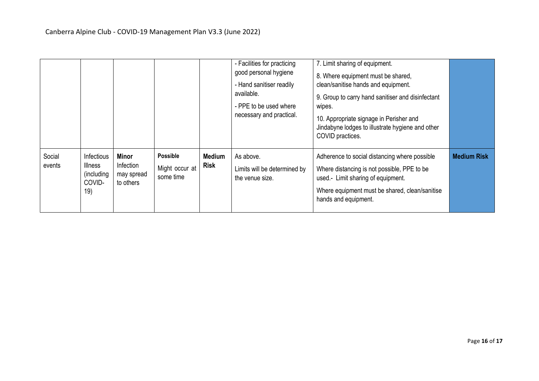|                  |                                                      |                                                      |                                                |                              | - Facilities for practicing<br>good personal hygiene<br>- Hand sanitiser readily<br>available.<br>- PPE to be used where<br>necessary and practical. | 7. Limit sharing of equipment.<br>8. Where equipment must be shared,<br>clean/sanitise hands and equipment.<br>9. Group to carry hand sanitiser and disinfectant<br>wipes.<br>10. Appropriate signage in Perisher and<br>Jindabyne lodges to illustrate hygiene and other<br>COVID practices. |                    |
|------------------|------------------------------------------------------|------------------------------------------------------|------------------------------------------------|------------------------------|------------------------------------------------------------------------------------------------------------------------------------------------------|-----------------------------------------------------------------------------------------------------------------------------------------------------------------------------------------------------------------------------------------------------------------------------------------------|--------------------|
| Social<br>events | Infectious<br>Illness<br>(including<br>COVID-<br>19) | <b>Minor</b><br>Infection<br>may spread<br>to others | <b>Possible</b><br>Might occur at<br>some time | <b>Medium</b><br><b>Risk</b> | As above.<br>Limits will be determined by<br>the venue size.                                                                                         | Adherence to social distancing where possible<br>Where distancing is not possible, PPE to be<br>used.- Limit sharing of equipment.<br>Where equipment must be shared, clean/sanitise<br>hands and equipment.                                                                                  | <b>Medium Risk</b> |